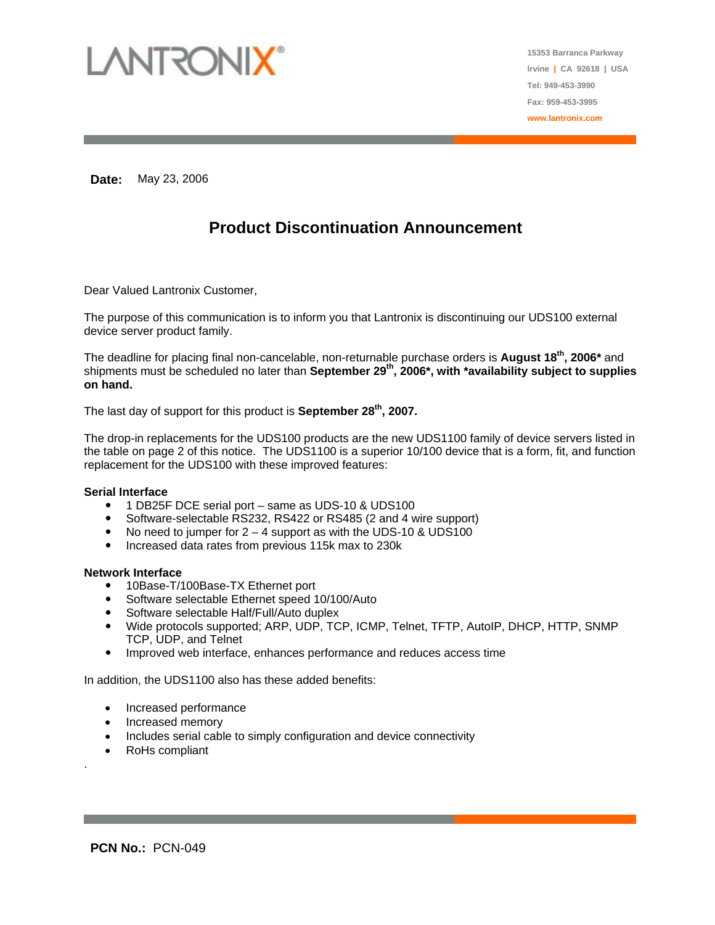

**15353 Barranca Parkway Irvine | CA 92618 | USA Tel: 949-453-3990 Fax: 959-453-3995 www.lantronix.com**

**Date:** May 23, 2006

# **Product Discontinuation Announcement**

Dear Valued Lantronix Customer,

The purpose of this communication is to inform you that Lantronix is discontinuing our UDS100 external device server product family.

The deadline for placing final non-cancelable, non-returnable purchase orders is **August 18th, 2006\*** and shipments must be scheduled no later than **September 29<sup>th</sup>, 2006<sup>\*</sup>, with \*availability subject to supplies on hand.** 

The last day of support for this product is **September 28th, 2007.** 

The drop-in replacements for the UDS100 products are the new UDS1100 family of device servers listed in the table on page 2 of this notice. The UDS1100 is a superior 10/100 device that is a form, fit, and function replacement for the UDS100 with these improved features:

#### **Serial Interface**

- 1 DB25F DCE serial port same as UDS-10 & UDS100
- Software-selectable RS232, RS422 or RS485 (2 and 4 wire support)
- No need to jumper for  $2 4$  support as with the UDS-10 & UDS100
- Increased data rates from previous 115k max to 230k

#### **Network Interface**

- 10Base-T/100Base-TX Ethernet port
- Software selectable Ethernet speed 10/100/Auto
- Software selectable Half/Full/Auto duplex
- Wide protocols supported; ARP, UDP, TCP, ICMP, Telnet, TFTP, AutoIP, DHCP, HTTP, SNMP TCP, UDP, and Telnet
- Improved web interface, enhances performance and reduces access time

In addition, the UDS1100 also has these added benefits:

- Increased performance
- Increased memory
- Includes serial cable to simply configuration and device connectivity
- RoHs compliant

.